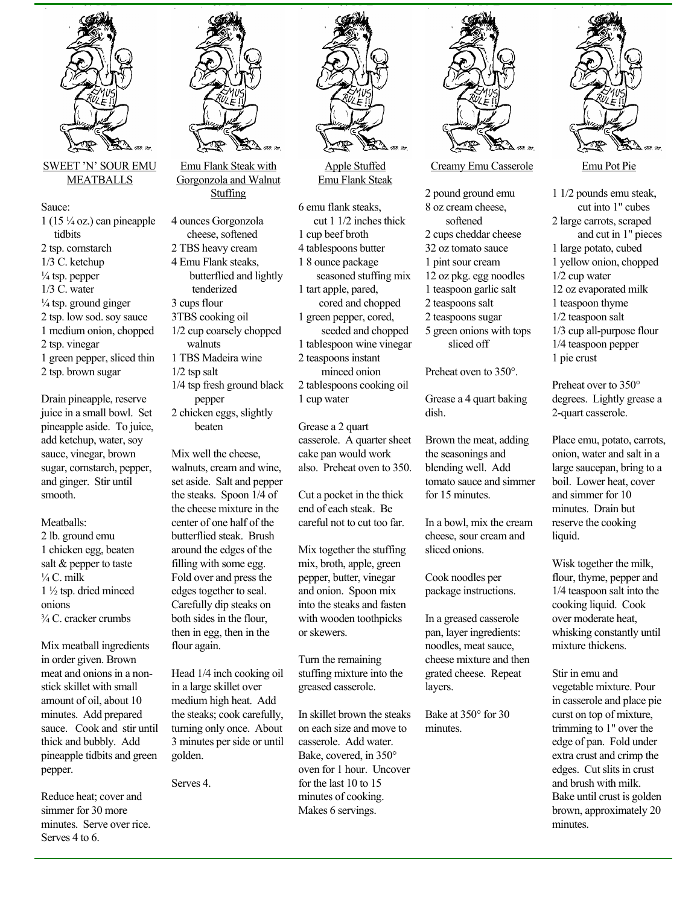

MEATBALLS

Sauce:  $1(15\frac{1}{4}$  oz.) can pineapple tidbits 2 tsp. cornstarch 1/3 C. ketchup

 $\frac{1}{4}$  tsp. pepper 1/3 C. water  $\frac{1}{4}$  tsp. ground ginger 2 tsp. low sod. soy sauce 1 medium onion, chopped 2 tsp. vinegar

1 green pepper, sliced thin 2 tsp. brown sugar

Drain pineapple, reserve juice in a small bowl. Set pineapple aside. To juice, add ketchup, water, soy sauce, vinegar, brown sugar, cornstarch, pepper, and ginger. Stir until smooth.

Meatballs:

2 lb. ground emu 1 chicken egg, beaten salt & pepper to taste  $\frac{1}{4}$ C. milk 1 ½ tsp. dried minced onions ¾ C. cracker crumbs

Mix meatball ingredients in order given. Brown meat and onions in a nonstick skillet with small amount of oil, about 10 minutes. Add prepared sauce. Cook and stir until thick and bubbly. Add pineapple tidbits and green pepper.

Reduce heat; cover and simmer for 30 more minutes. Serve over rice. Serves 4 to 6.



Emu Flank Steak with Gorgonzola and Walnut Stuffing

4 ounces Gorgonzola cheese, softened 2 TBS heavy cream 4 Emu Flank steaks, butterflied and lightly tenderized 3 cups flour 3TBS cooking oil 1/2 cup coarsely chopped walnuts 1 TBS Madeira wine 1/2 tsp salt 1/4 tsp fresh ground black pepper 2 chicken eggs, slightly beaten

Mix well the cheese, walnuts, cream and wine, set aside. Salt and pepper the steaks. Spoon 1/4 of the cheese mixture in the center of one half of the butterflied steak. Brush around the edges of the filling with some egg. Fold over and press the edges together to seal. Carefully dip steaks on both sides in the flour, then in egg, then in the flour again.

Head 1/4 inch cooking oil in a large skillet over medium high heat. Add the steaks; cook carefully, turning only once. About 3 minutes per side or until golden.

Serves 4.



Apple Stuffed Emu Flank Steak

6 emu flank steaks, cut 1 1/2 inches thick 1 cup beef broth 4 tablespoons butter 1 8 ounce package seasoned stuffing mix 1 tart apple, pared, cored and chopped 1 green pepper, cored, seeded and chopped 1 tablespoon wine vinegar 2 teaspoons instant minced onion 2 tablespoons cooking oil 1 cup water

Grease a 2 quart casserole. A quarter sheet cake pan would work also. Preheat oven to 350.

Cut a pocket in the thick end of each steak. Be careful not to cut too far.

Mix together the stuffing mix, broth, apple, green pepper, butter, vinegar and onion. Spoon mix into the steaks and fasten with wooden toothpicks or skewers.

Turn the remaining stuffing mixture into the greased casserole.

In skillet brown the steaks on each size and move to casserole. Add water. Bake, covered, in 350° oven for 1 hour. Uncover for the last 10 to 15 minutes of cooking. Makes 6 servings.



Creamy Emu Casserole

2 pound ground emu 8 oz cream cheese, softened 2 cups cheddar cheese 32 oz tomato sauce 1 pint sour cream 12 oz pkg. egg noodles 1 teaspoon garlic salt 2 teaspoons salt 2 teaspoons sugar 5 green onions with tops sliced off

Preheat oven to 350°.

Grease a 4 quart baking dish.

Brown the meat, adding the seasonings and blending well. Add tomato sauce and simmer for 15 minutes.

In a bowl, mix the cream cheese, sour cream and sliced onions.

Cook noodles per package instructions.

In a greased casserole pan, layer ingredients: noodles, meat sauce, cheese mixture and then grated cheese. Repeat layers.

Bake at 350° for 30 minutes.



1 1/2 pounds emu steak, cut into 1" cubes 2 large carrots, scraped and cut in 1" pieces 1 large potato, cubed 1 yellow onion, chopped 1/2 cup water 12 oz evaporated milk 1 teaspoon thyme 1/2 teaspoon salt 1/3 cup all-purpose flour 1/4 teaspoon pepper

1 pie crust

Preheat over to 350° degrees. Lightly grease a 2-quart casserole.

Place emu, potato, carrots, onion, water and salt in a large saucepan, bring to a boil. Lower heat, cover and simmer for 10 minutes. Drain but reserve the cooking liquid.

Wisk together the milk, flour, thyme, pepper and 1/4 teaspoon salt into the cooking liquid. Cook over moderate heat, whisking constantly until mixture thickens.

Stir in emu and vegetable mixture. Pour in casserole and place pie curst on top of mixture, trimming to 1" over the edge of pan. Fold under extra crust and crimp the edges. Cut slits in crust and brush with milk. Bake until crust is golden brown, approximately 20 minutes.